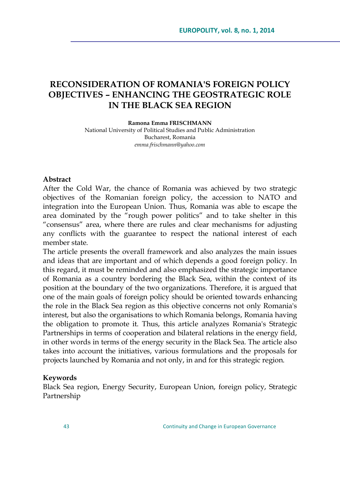# **RECONSIDERATION OF ROMANIA'S FOREIGN POLICY OBJECTIVES – ENHANCING THE GEOSTRATEGIC ROLE IN THE BLACK SEA REGION**

#### **Ramona Emma FRISCHMANN** National University of Political Studies and Public Administration Bucharest, Romania *emma.frischmann@yahoo.com*

#### **Abstract**

After the Cold War, the chance of Romania was achieved by two strategic objectives of the Romanian foreign policy, the accession to NATO and integration into the European Union. Thus, Romania was able to escape the area dominated by the "rough power politics" and to take shelter in this "consensus" area, where there are rules and clear mechanisms for adjusting any conflicts with the guarantee to respect the national interest of each member state.

The article presents the overall framework and also analyzes the main issues and ideas that are important and of which depends a good foreign policy. In this regard, it must be reminded and also emphasized the strategic importance of Romania as a country bordering the Black Sea, within the context of its position at the boundary of the two organizations. Therefore, it is argued that one of the main goals of foreign policy should be oriented towards enhancing the role in the Black Sea region as this objective concerns not only Romania's interest, but also the organisations to which Romania belongs, Romania having the obligation to promote it. Thus, this article analyzes Romania's Strategic Partnerships in terms of cooperation and bilateral relations in the energy field, in other words in terms of the energy security in the Black Sea. The article also takes into account the initiatives, various formulations and the proposals for projects launched by Romania and not only, in and for this strategic region.

#### **Keywords**

Black Sea region, Energy Security, European Union, foreign policy, Strategic Partnership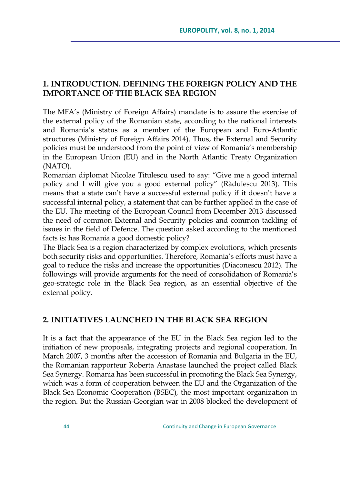## **1. INTRODUCTION. DEFINING THE FOREIGN POLICY AND THE IMPORTANCE OF THE BLACK SEA REGION**

The MFA"s (Ministry of Foreign Affairs) mandate is to assure the exercise of the external policy of the Romanian state, according to the national interests and Romania"s status as a member of the European and Euro-Atlantic structures (Ministry of Foreign Affairs 2014). Thus, the External and Security policies must be understood from the point of view of Romania"s membership in the European Union (EU) and in the North Atlantic Treaty Organization (NATO).

Romanian diplomat Nicolae Titulescu used to say: "Give me a good internal policy and I will give you a good external policy" (Rădulescu 2013). This means that a state can't have a successful external policy if it doesn't have a successful internal policy, a statement that can be further applied in the case of the EU. The meeting of the European Council from December 2013 discussed the need of common External and Security policies and common tackling of issues in the field of Defence. The question asked according to the mentioned facts is: has Romania a good domestic policy?

The Black Sea is a region characterized by complex evolutions, which presents both security risks and opportunities. Therefore, Romania's efforts must have a goal to reduce the risks and increase the opportunities (Diaconescu 2012). The followings will provide arguments for the need of consolidation of Romania's geo-strategic role in the Black Sea region, as an essential objective of the external policy.

#### **2. INITIATIVES LAUNCHED IN THE BLACK SEA REGION**

It is a fact that the appearance of the EU in the Black Sea region led to the initiation of new proposals, integrating projects and regional cooperation. In March 2007, 3 months after the accession of Romania and Bulgaria in the EU, the Romanian rapporteur Roberta Anastase launched the project called Black Sea Synergy. Romania has been successful in promoting the Black Sea Synergy, which was a form of cooperation between the EU and the Organization of the Black Sea Economic Cooperation (BSEC), the most important organization in the region. But the Russian-Georgian war in 2008 blocked the development of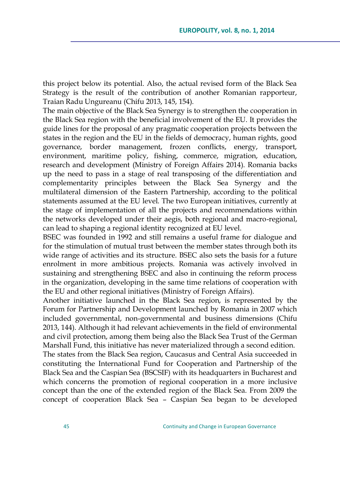this project below its potential. Also, the actual revised form of the Black Sea Strategy is the result of the contribution of another Romanian rapporteur, Traian Radu Ungureanu (Chifu 2013, 145, 154).

The main objective of the Black Sea Synergy is to strengthen the cooperation in the Black Sea region with the beneficial involvement of the EU. It provides the guide lines for the proposal of any pragmatic cooperation projects between the states in the region and the EU in the fields of democracy, human rights, good governance, border management, frozen conflicts, energy, transport, environment, maritime policy, fishing, commerce, migration, education, research and development (Ministry of Foreign Affairs 2014). Romania backs up the need to pass in a stage of real transposing of the differentiation and complementarity principles between the Black Sea Synergy and the multilateral dimension of the Eastern Partnership, according to the political statements assumed at the EU level. The two European initiatives, currently at the stage of implementation of all the projects and recommendations within the networks developed under their aegis, both regional and macro-regional, can lead to shaping a regional identity recognized at EU level.

BSEC was founded in 1992 and still remains a useful frame for dialogue and for the stimulation of mutual trust between the member states through both its wide range of activities and its structure. BSEC also sets the basis for a future enrolment in more ambitious projects. Romania was actively involved in sustaining and strengthening BSEC and also in continuing the reform process in the organization, developing in the same time relations of cooperation with the EU and other regional initiatives (Ministry of Foreign Affairs).

Another initiative launched in the Black Sea region, is represented by the Forum for Partnership and Development launched by Romania in 2007 which included governmental, non-governmental and business dimensions (Chifu 2013, 144). Although it had relevant achievements in the field of environmental and civil protection, among them being also the Black Sea Trust of the German Marshall Fund, this initiative has never materialized through a second edition.

The states from the Black Sea region, Caucasus and Central Asia succeeded in constituting the International Fund for Cooperation and Partnership of the Black Sea and the Caspian Sea (BSCSIF) with its headquarters in Bucharest and which concerns the promotion of regional cooperation in a more inclusive concept than the one of the extended region of the Black Sea. From 2009 the concept of cooperation Black Sea – Caspian Sea began to be developed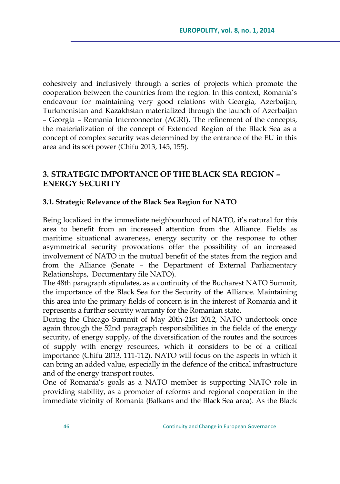cohesively and inclusively through a series of projects which promote the cooperation between the countries from the region. In this context, Romania"s endeavour for maintaining very good relations with Georgia, Azerbaijan, Turkmenistan and Kazakhstan materialized through the launch of Azerbaijan – Georgia – Romania Interconnector (AGRI). The refinement of the concepts, the materialization of the concept of Extended Region of the Black Sea as a concept of complex security was determined by the entrance of the EU in this area and its soft power (Chifu 2013, 145, 155).

### **3. STRATEGIC IMPORTANCE OF THE BLACK SEA REGION – ENERGY SECURITY**

#### **3.1. Strategic Relevance of the Black Sea Region for NATO**

Being localized in the immediate neighbourhood of NATO, it"s natural for this area to benefit from an increased attention from the Alliance. Fields as maritime situational awareness, energy security or the response to other asymmetrical security provocations offer the possibility of an increased involvement of NATO in the mutual benefit of the states from the region and from the Alliance (Senate – the Department of External Parliamentary Relationships, Documentary file NATO).

The 48th paragraph stipulates, as a continuity of the Bucharest NATO Summit, the importance of the Black Sea for the Security of the Alliance. Maintaining this area into the primary fields of concern is in the interest of Romania and it represents a further security warranty for the Romanian state.

During the Chicago Summit of May 20th-21st 2012, NATO undertook once again through the 52nd paragraph responsibilities in the fields of the energy security, of energy supply, of the diversification of the routes and the sources of supply with energy resources, which it considers to be of a critical importance (Chifu 2013, 111-112). NATO will focus on the aspects in which it can bring an added value, especially in the defence of the critical infrastructure and of the energy transport routes.

One of Romania's goals as a NATO member is supporting NATO role in providing stability, as a promoter of reforms and regional cooperation in the immediate vicinity of Romania (Balkans and the Black Sea area). As the Black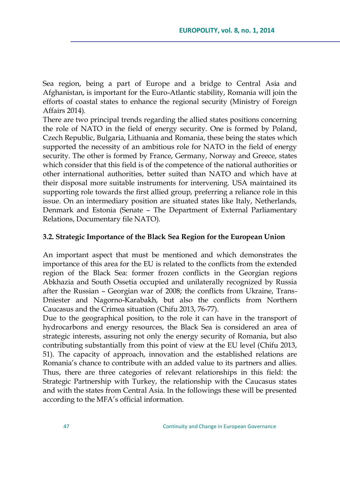Sea region, being a part of Europe and a bridge to Central Asia and Afghanistan, is important for the Euro-Atlantic stability, Romania will join the efforts of coastal states to enhance the regional security (Ministry of Foreign Affairs 2014).

There are two principal trends regarding the allied states positions concerning the role of NATO in the field of energy security. One is formed by Poland, Czech Republic, Bulgaria, Lithuania and Romania, these being the states which supported the necessity of an ambitious role for NATO in the field of energy security. The other is formed by France, Germany, Norway and Greece, states which consider that this field is of the competence of the national authorities or other international authorities, better suited than NATO and which have at their disposal more suitable instruments for intervening. USA maintained its supporting role towards the first allied group, preferring a reliance role in this issue. On an intermediary position are situated states like Italy, Netherlands, Denmark and Estonia (Senate – The Department of External Parliamentary Relations, Documentary file NATO).

### **3.2. Strategic Importance of the Black Sea Region for the European Union**

An important aspect that must be mentioned and which demonstrates the importance of this area for the EU is related to the conflicts from the extended region of the Black Sea: former frozen conflicts in the Georgian regions Abkhazia and South Ossetia occupied and unilaterally recognized by Russia after the Russian – Georgian war of 2008; the conflicts from Ukraine, Trans-Dniester and Nagorno-Karabakh, but also the conflicts from Northern Caucasus and the Crimea situation (Chifu 2013, 76-77).

Due to the geographical position, to the role it can have in the transport of hydrocarbons and energy resources, the Black Sea is considered an area of strategic interests, assuring not only the energy security of Romania, but also contributing substantially from this point of view at the EU level (Chifu 2013, 51). The capacity of approach, innovation and the established relations are Romania's chance to contribute with an added value to its partners and allies. Thus, there are three categories of relevant relationships in this field: the Strategic Partnership with Turkey, the relationship with the Caucasus states and with the states from Central Asia. In the followings these will be presented according to the MFA's official information.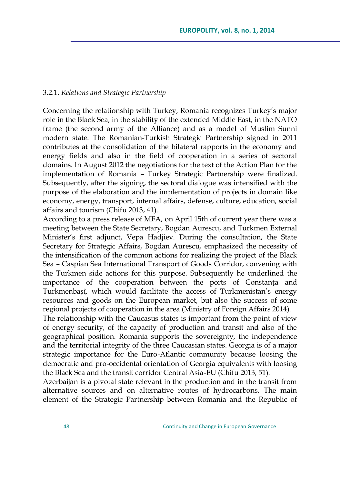#### 3.2.1. *Relations and Strategic Partnership*

Concerning the relationship with Turkey, Romania recognizes Turkey's major role in the Black Sea, in the stability of the extended Middle East, in the NATO frame (the second army of the Alliance) and as a model of Muslim Sunni modern state. The Romanian-Turkish Strategic Partnership signed in 2011 contributes at the consolidation of the bilateral rapports in the economy and energy fields and also in the field of cooperation in a series of sectoral domains. In August 2012 the negotiations for the text of the Action Plan for the implementation of Romania – Turkey Strategic Partnership were finalized. Subsequently, after the signing, the sectoral dialogue was intensified with the purpose of the elaboration and the implementation of projects in domain like economy, energy, transport, internal affairs, defense, culture, education, social affairs and tourism (Chifu 2013, 41).

According to a press release of MFA, on April 15th of current year there was a meeting between the State Secretary, Bogdan Aurescu, and Turkmen External Minister's first adjunct, Vepa Hadjiev. During the consultation, the State Secretary for Strategic Affairs, Bogdan Aurescu, emphasized the necessity of the intensification of the common actions for realizing the project of the Black Sea – Caspian Sea International Transport of Goods Corridor, convening with the Turkmen side actions for this purpose. Subsequently he underlined the importance of the cooperation between the ports of Constanța and Turkmenbașî, which would facilitate the access of Turkmenistan's energy resources and goods on the European market, but also the success of some regional projects of cooperation in the area (Ministry of Foreign Affairs 2014).

The relationship with the Caucasus states is important from the point of view of energy security, of the capacity of production and transit and also of the geographical position. Romania supports the sovereignty, the independence and the territorial integrity of the three Caucasian states. Georgia is of a major strategic importance for the Euro-Atlantic community because loosing the democratic and pro-occidental orientation of Georgia equivalents with loosing the Black Sea and the transit corridor Central Asia-EU (Chifu 2013, 51).

Azerbaijan is a pivotal state relevant in the production and in the transit from alternative sources and on alternative routes of hydrocarbons. The main element of the Strategic Partnership between Romania and the Republic of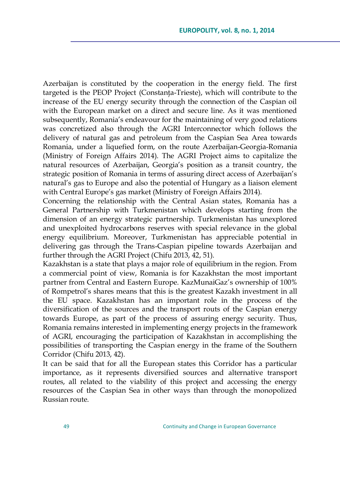Azerbaijan is constituted by the cooperation in the energy field. The first targeted is the PEOP Project (Constanţa-Trieste), which will contribute to the increase of the EU energy security through the connection of the Caspian oil with the European market on a direct and secure line. As it was mentioned subsequently, Romania's endeavour for the maintaining of very good relations was concretized also through the AGRI Interconnector which follows the delivery of natural gas and petroleum from the Caspian Sea Area towards Romania, under a liquefied form, on the route Azerbaijan-Georgia-Romania (Ministry of Foreign Affairs 2014). The AGRI Project aims to capitalize the natural resources of Azerbaijan, Georgia"s position as a transit country, the strategic position of Romania in terms of assuring direct access of Azerbaijan"s natural"s gas to Europe and also the potential of Hungary as a liaison element with Central Europe's gas market (Ministry of Foreign Affairs 2014).

Concerning the relationship with the Central Asian states, Romania has a General Partnership with Turkmenistan which develops starting from the dimension of an energy strategic partnership. Turkmenistan has unexplored and unexploited hydrocarbons reserves with special relevance in the global energy equilibrium. Moreover, Turkmenistan has appreciable potential in delivering gas through the Trans-Caspian pipeline towards Azerbaijan and further through the AGRI Project (Chifu 2013, 42, 51).

Kazakhstan is a state that plays a major role of equilibrium in the region. From a commercial point of view, Romania is for Kazakhstan the most important partner from Central and Eastern Europe. KazMunaiGaz"s ownership of 100% of Rompetrol"s shares means that this is the greatest Kazakh investment in all the EU space. Kazakhstan has an important role in the process of the diversification of the sources and the transport routs of the Caspian energy towards Europe, as part of the process of assuring energy security. Thus, Romania remains interested in implementing energy projects in the framework of AGRI, encouraging the participation of Kazakhstan in accomplishing the possibilities of transporting the Caspian energy in the frame of the Southern Corridor (Chifu 2013, 42).

It can be said that for all the European states this Corridor has a particular importance, as it represents diversified sources and alternative transport routes, all related to the viability of this project and accessing the energy resources of the Caspian Sea in other ways than through the monopolized Russian route.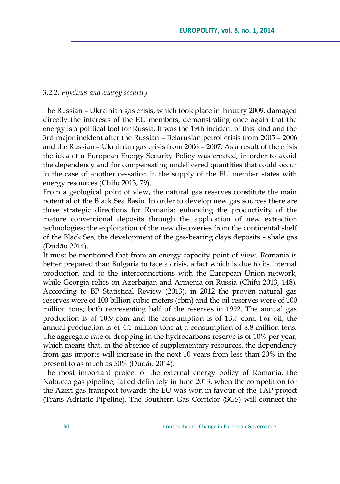#### 3.2.2. *Pipelines and energy security*

The Russian – Ukrainian gas crisis, which took place in January 2009, damaged directly the interests of the EU members, demonstrating once again that the energy is a political tool for Russia. It was the 19th incident of this kind and the 3rd major incident after the Russian – Belarusian petrol crisis from 2005 – 2006 and the Russian – Ukrainian gas crisis from 2006 – 2007. As a result of the crisis the idea of a European Energy Security Policy was created, in order to avoid the dependency and for compensating undelivered quantities that could occur in the case of another cessation in the supply of the EU member states with energy resources (Chifu 2013, 79).

From a geological point of view, the natural gas reserves constitute the main potential of the Black Sea Basin. In order to develop new gas sources there are three strategic directions for Romania: enhancing the productivity of the mature conventional deposits through the application of new extraction technologies; the exploitation of the new discoveries from the continental shelf of the Black Sea; the development of the gas-bearing clays deposits – shale gas (Dudău 2014).

It must be mentioned that from an energy capacity point of view, Romania is better prepared than Bulgaria to face a crisis, a fact which is due to its internal production and to the interconnections with the European Union network, while Georgia relies on Azerbaijan and Armenia on Russia (Chifu 2013, 148). According to BP Statistical Review (2013), in 2012 the proven natural gas reserves were of 100 billion cubic meters (cbm) and the oil reserves were of 100 million tons; both representing half of the reserves in 1992. The annual gas production is of 10.9 cbm and the consumption is of 13.5 cbm. For oil, the annual production is of 4.1 million tons at a consumption of 8.8 million tons. The aggregate rate of dropping in the hydrocarbons reserve is of 10% per year, which means that, in the absence of supplementary resources, the dependency from gas imports will increase in the next 10 years from less than 20% in the present to as much as 50% (Dudău 2014).

The most important project of the external energy policy of Romania, the Nabucco gas pipeline, failed definitely in June 2013, when the competition for the Azeri gas transport towards the EU was won in favour of the TAP project (Trans Adriatic Pipeline). The Southern Gas Corridor (SGS) will connect the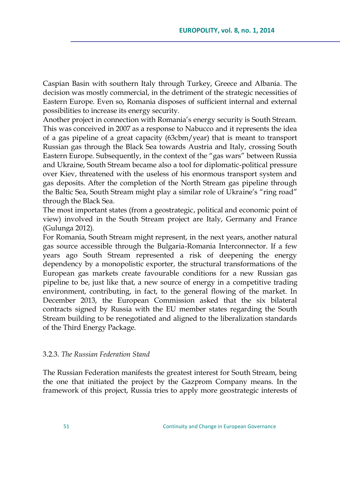Caspian Basin with southern Italy through Turkey, Greece and Albania. The decision was mostly commercial, in the detriment of the strategic necessities of Eastern Europe. Even so, Romania disposes of sufficient internal and external possibilities to increase its energy security.

Another project in connection with Romania"s energy security is South Stream. This was conceived in 2007 as a response to Nabucco and it represents the idea of a gas pipeline of a great capacity (63cbm/year) that is meant to transport Russian gas through the Black Sea towards Austria and Italy, crossing South Eastern Europe. Subsequently, in the context of the "gas wars" between Russia and Ukraine, South Stream became also a tool for diplomatic-political pressure over Kiev, threatened with the useless of his enormous transport system and gas deposits. After the completion of the North Stream gas pipeline through the Baltic Sea, South Stream might play a similar role of Ukraine's "ring road" through the Black Sea.

The most important states (from a geostrategic, political and economic point of view) involved in the South Stream project are Italy, Germany and France (Gulunga 2012).

For Romania, South Stream might represent, in the next years, another natural gas source accessible through the Bulgaria-Romania Interconnector. If a few years ago South Stream represented a risk of deepening the energy dependency by a monopolistic exporter, the structural transformations of the European gas markets create favourable conditions for a new Russian gas pipeline to be, just like that, a new source of energy in a competitive trading environment, contributing, in fact, to the general flowing of the market. In December 2013, the European Commission asked that the six bilateral contracts signed by Russia with the EU member states regarding the South Stream building to be renegotiated and aligned to the liberalization standards of the Third Energy Package.

#### 3.2.3. *The Russian Federation Stand*

The Russian Federation manifests the greatest interest for South Stream, being the one that initiated the project by the Gazprom Company means. In the framework of this project, Russia tries to apply more geostrategic interests of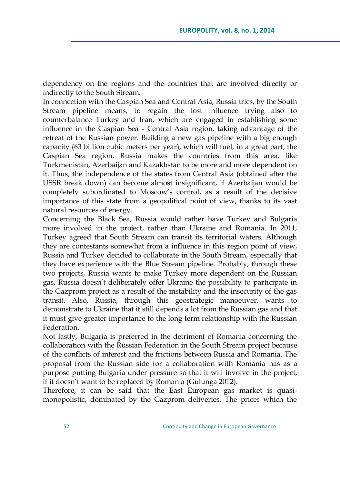dependency on the regions and the countries that are involved directly or indirectly to the South Stream.

In connection with the Caspian Sea and Central Asia, Russia tries, by the South Stream pipeline means, to regain the lost influence trying also to counterbalance Turkey and Iran, which are engaged in establishing some influence in the Caspian Sea - Central Asia region, taking advantage of the retreat of the Russian power. Building a new gas pipeline with a big enough capacity (63 billion cubic meters per year), which will fuel, in a great part, the Caspian Sea region, Russia makes the countries from this area, like Turkmenistan, Azerbaijan and Kazakhstan to be more and more dependent on it. Thus, the independence of the states from Central Asia (obtained after the USSR break down) can become almost insignificant, if Azerbaijan would be completely subordinated to Moscow"s control, as a result of the decisive importance of this state from a geopolitical point of view, thanks to its vast natural resources of energy.

Concerning the Black Sea, Russia would rather have Turkey and Bulgaria more involved in the project, rather than Ukraine and Romania. In 2011, Turkey agreed that South Stream can transit its territorial waters. Although they are contestants somewhat from a influence in this region point of view, Russia and Turkey decided to collaborate in the South Stream, especially that they have experience with the Blue Stream pipeline. Probably, through these two projects, Russia wants to make Turkey more dependent on the Russian gas. Russia doesn"t deliberately offer Ukraine the possibility to participate in the Gazprom project as a result of the instability and the insecurity of the gas transit. Also, Russia, through this geostrategic manoeuver, wants to demonstrate to Ukraine that it still depends a lot from the Russian gas and that it must give greater importance to the long term relationship with the Russian Federation.

Not lastly, Bulgaria is preferred in the detriment of Romania concerning the collaboration with the Russian Federation in the South Stream project because of the conflicts of interest and the frictions between Russia and Romania. The proposal from the Russian side for a collaboration with Romania has as a purpose putting Bulgaria under pressure so that it will involve in the project, if it doesn"t want to be replaced by Romania (Gulunga 2012).

Therefore, it can be said that the East European gas market is quasimonopolistic, dominated by the Gazprom deliveries. The prices which the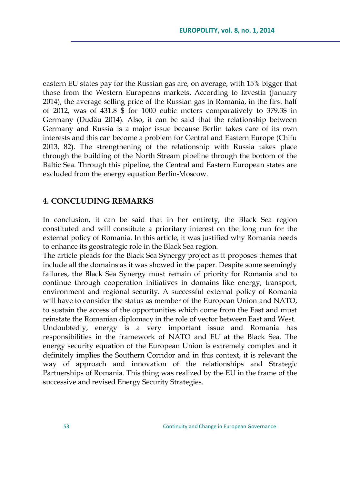eastern EU states pay for the Russian gas are, on average, with 15% bigger that those from the Western Europeans markets. According to Izvestia (January 2014), the average selling price of the Russian gas in Romania, in the first half of 2012, was of 431.8 \$ for 1000 cubic meters comparatively to 379.3\$ in Germany (Dudău 2014). Also, it can be said that the relationship between Germany and Russia is a major issue because Berlin takes care of its own interests and this can become a problem for Central and Eastern Europe (Chifu 2013, 82). The strengthening of the relationship with Russia takes place through the building of the North Stream pipeline through the bottom of the Baltic Sea. Through this pipeline, the Central and Eastern European states are excluded from the energy equation Berlin-Moscow.

### **4. CONCLUDING REMARKS**

In conclusion, it can be said that in her entirety, the Black Sea region constituted and will constitute a prioritary interest on the long run for the external policy of Romania. In this article, it was justified why Romania needs to enhance its geostrategic role in the Black Sea region.

The article pleads for the Black Sea Synergy project as it proposes themes that include all the domains as it was showed in the paper. Despite some seemingly failures, the Black Sea Synergy must remain of priority for Romania and to continue through cooperation initiatives in domains like energy, transport, environment and regional security. A successful external policy of Romania will have to consider the status as member of the European Union and NATO, to sustain the access of the opportunities which come from the East and must reinstate the Romanian diplomacy in the role of vector between East and West. Undoubtedly, energy is a very important issue and Romania has responsibilities in the framework of NATO and EU at the Black Sea. The energy security equation of the European Union is extremely complex and it definitely implies the Southern Corridor and in this context, it is relevant the way of approach and innovation of the relationships and Strategic Partnerships of Romania. This thing was realized by the EU in the frame of the successive and revised Energy Security Strategies.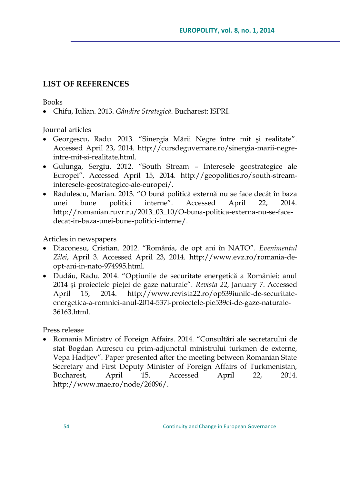## **LIST OF REFERENCES**

Books

Chifu, Iulian. 2013. *Gândire Strategică*. Bucharest: ISPRI.

Journal articles

- Georgescu, Radu. 2013. "Sinergia Mării Negre între mit şi realitate". Accessed April 23, 2014. [http://cursdeguvernare.ro/sinergia-marii-negre](http://cursdeguvernare.ro/sinergia-marii-negre-intre-mit-si-realitate.html)[intre-mit-si-realitate.html.](http://cursdeguvernare.ro/sinergia-marii-negre-intre-mit-si-realitate.html)
- Gulunga, Sergiu. 2012. "South Stream Interesele geostrategice ale Europei". Accessed April 15, 2014. [http://geopolitics.ro/south-stream](http://geopolitics.ro/south-stream-interesele-geostrategice-ale-europei/)[interesele-geostrategice-ale-europei/.](http://geopolitics.ro/south-stream-interesele-geostrategice-ale-europei/)
- Rădulescu, Marian. 2013. "O bună politică externă nu se face decât în baza unei bune politici interne". Accessed April 22, 2014. [http://romanian.ruvr.ru/2013\\_03\\_10/O-buna-politica-externa-nu-se-face](http://romanian.ruvr.ru/2013_03_10/O-buna-politica-externa-nu-se-face-decat-in-baza-unei-bune-politici-interne/)[decat-in-baza-unei-bune-politici-interne/.](http://romanian.ruvr.ru/2013_03_10/O-buna-politica-externa-nu-se-face-decat-in-baza-unei-bune-politici-interne/)

Articles in newspapers

- Diaconesu, Cristian. 2012. "România, de opt ani în NATO". *Evenimentul Zilei*, April 3. Accessed April 23, 2014. [http://www.evz.ro/romania-de](http://www.evz.ro/romania-de-opt-ani-in-nato-974995.html)[opt-ani-in-nato-974995.html.](http://www.evz.ro/romania-de-opt-ani-in-nato-974995.html)
- Dudău, Radu. 2014. "Opţiunile de securitate energetică a României: anul 2014 şi proiectele pieţei de gaze naturale". *Revista 22*, January 7. Accessed April 15, 2014. [http://www.revista22.ro/op539iunile-de-securitate](http://www.revista22.ro/op539iunile-de-securitate-energetica-a-romniei-anul-2014-537i-proiectele-pie539ei-de-gaze-naturale-36163.html)[energetica-a-romniei-anul-2014-537i-proiectele-pie539ei-de-gaze-naturale-](http://www.revista22.ro/op539iunile-de-securitate-energetica-a-romniei-anul-2014-537i-proiectele-pie539ei-de-gaze-naturale-36163.html)[36163.html.](http://www.revista22.ro/op539iunile-de-securitate-energetica-a-romniei-anul-2014-537i-proiectele-pie539ei-de-gaze-naturale-36163.html)

Press release

 Romania Ministry of Foreign Affairs. 2014. "Consultări ale secretarului de stat Bogdan Aurescu cu prim-adjunctul ministrului turkmen de externe, Vepa Hadjiev". Paper presented after the meeting between Romanian State Secretary and First Deputy Minister of Foreign Affairs of Turkmenistan, Bucharest, April 15. Accessed April 22, 2014. [http://www.mae.ro/node/26096/.](http://www.mae.ro/node/26096/)